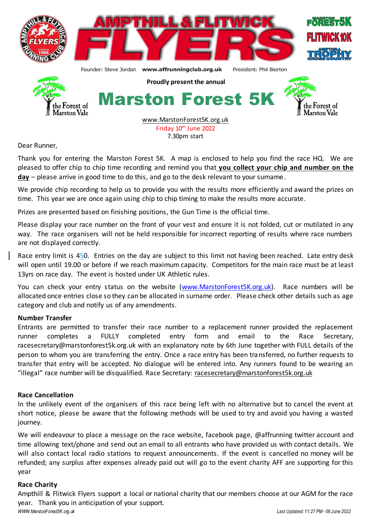

Dear Runner,

Thank you for entering the Marston Forest 5K. A map is enclosed to help you find the race HQ. We are pleased to offer chip to chip time recording and remind you that **you collect your chip and number on the day** – please arrive in good time to do this, and go to the desk relevant to your surname.

We provide chip recording to help us to provide you with the results more efficiently and award the prizes on time. This year we are once again using chip to chip timing to make the results more accurate.

Prizes are presented based on finishing positions, the Gun Time is the official time.

Please display your race number on the front of your vest and ensure it is not folded, cut or mutilated in any way. The race organisers will not be held responsible for incorrect reporting of results where race numbers are not displayed correctly.

Race entry limit is 450. Entries on the day are subject to this limit not having been reached. Late entry desk will open until 19.00 or before if we reach maximum capacity. Competitors for the main race must be at least 13yrs on race day. The event is hosted under UK Athletic rules.

You can check your entry status on the website [\(www.MarstonForest5K.org.uk\)](http://www.marstonforest5k.org.uk/). Race numbers will be allocated once entries close so they can be allocated in surname order. Please check other details such as age category and club and notify us of any amendments.

## **Number Transfer**

Entrants are permitted to transfer their race number to a replacement runner provided the replacement runner completes a FULLY completed entry form and email to the Race Secretary, racesecretary@marstonforest5k.org.uk with an explanatory note by 6th June together with FULL details of the person to whom you are transferring the entry. Once a race entry has been transferred, no further requests to transfer that entry will be accepted. No dialogue will be entered into. Any runners found to be wearing an "illegal" race number will be disqualified. Race Secretary: [racesecretary@marstonforest5k.org.uk](mailto:racesecretary@marstonforest5k.org.uk)

## **Race Cancellation**

In the unlikely event of the organisers of this race being left with no alternative but to cancel the event at short notice, please be aware that the following methods will be used to try and avoid you having a wasted journey.

We will endeavour to place a message on the race website, facebook page, @affrunning twitter account and time allowing text/phone and send out an email to all entrants who have provided us with contact details. We will also contact local radio stations to request announcements. If the event is cancelled no money will be refunded; any surplus after expenses already paid out will go to the event charity AFF are supporting for this year

## **Race Charity**

Ampthill & Flitwick Flyers support a local or national charity that our members choose at our AGM for the race year. Thank you in anticipation of your support.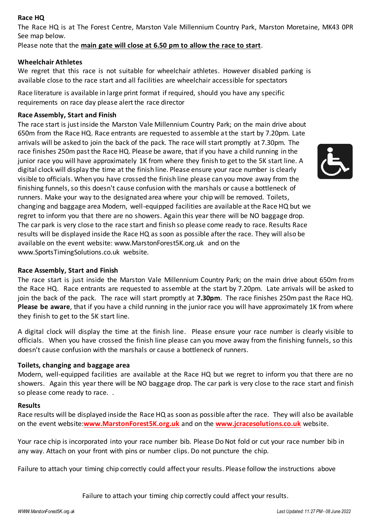# **Race HQ**

The Race HQ is at The Forest Centre, Marston Vale Millennium Country Park, Marston Moretaine, MK43 0PR See map below.

Please note that the **main gate will close at 6.50 pm to allow the race to start**.

## **Wheelchair Athletes**

We regret that this race is not suitable for wheelchair athletes. However disabled parking is available close to the race start and all facilities are wheelchair accessible for spectators

Race literature is available in large print format if required, should you have any specific requirements on race day please alert the race director

# **Race Assembly, Start and Finish**

The race start is just inside the Marston Vale Millennium Country Park; on the main drive about 650m from the Race HQ. Race entrants are requested to assemble at the start by 7.20pm. Late arrivals will be asked to join the back of the pack. The race will start promptly at 7.30pm. The race finishes 250m past the Race HQ. Please be aware, that if you have a child running in the junior race you will have approximately 1K from where they finish to get to the 5K start line. A digital clock will display the time at the finish line. Please ensure your race number is clearly visible to officials. When you have crossed the finish line please can you move away from the finishing funnels, so this doesn't cause confusion with the marshals or cause a bottleneck of runners. Make your way to the designated area where your chip will be removed. Toilets, changing and baggage area Modern, well-equipped facilities are available at the Race HQ but we regret to inform you that there are no showers. Again this year there will be NO baggage drop. The car park is very close to the race start and finish so please come ready to race. Results Race results will be displayed inside the Race HQ as soon as possible after the race. They will also be available on the event website: www.MarstonForest5K.org.uk and on the www.SportsTimingSolutions.co.uk website.

## **Race Assembly, Start and Finish**

The race start is just inside the Marston Vale Millennium Country Park; on the main drive about 650m from the Race HQ. Race entrants are requested to assemble at the start by 7.20pm. Late arrivals will be asked to join the back of the pack. The race will start promptly at **7.30pm**. The race finishes 250m past the Race HQ. **Please be aware**, that if you have a child running in the junior race you will have approximately 1K from where they finish to get to the 5K start line.

A digital clock will display the time at the finish line. Please ensure your race number is clearly visible to officials. When you have crossed the finish line please can you move away from the finishing funnels, so this doesn't cause confusion with the marshals or cause a bottleneck of runners.

## **Toilets, changing and baggage area**

Modern, well-equipped facilities are available at the Race HQ but we regret to inform you that there are no showers. Again this year there will be NO baggage drop. The car park is very close to the race start and finish so please come ready to race. .

## **Results**

Race results will be displayed inside the Race HQ as soon as possible after the race. They will also be available on the event website:**[www.MarstonForest5K.org.uk](http://www.marstonforest5k.org.uk/)** and on the **www.jcracesolutions.co.uk** website.

Your race chip is incorporated into your race number bib. Please Do Not fold or cut your race number bib in any way. Attach on your front with pins or number clips. Do not puncture the chip.

Failure to attach your timing chip correctly could affect your results. Please follow the instructions above

Failure to attach your timing chip correctly could affect your results.

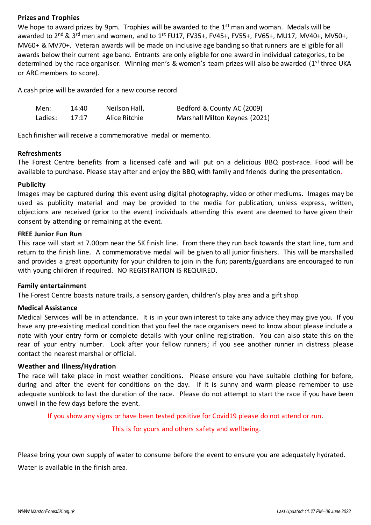## **Prizes and Trophies**

We hope to award prizes by 9pm. Trophies will be awarded to the 1<sup>st</sup> man and woman. Medals will be awarded to 2<sup>nd</sup> & 3<sup>rd</sup> men and women, and to 1<sup>st</sup> FU17, FV35+, FV45+, FV55+, FV65+, MU17, MV40+, MV50+, MV60+ & MV70+. Veteran awards will be made on inclusive age banding so that runners are eligible for all awards below their current age band. Entrants are only eligble for one award in individual categories, to be determined by the race organiser. Winning men's & women's team prizes will also be awarded (1<sup>st</sup> three UKA or ARC members to score).

A cash prize will be awarded for a new course record

| Men:    | 14:40 | Neilson Hall, | Bedford & County AC (2009)    |
|---------|-------|---------------|-------------------------------|
| Ladies: | 17:17 | Alice Ritchie | Marshall Milton Keynes (2021) |

Each finisher will receive a commemorative medal or memento.

## **Refreshments**

The Forest Centre benefits from a licensed café and will put on a delicious BBQ post-race. Food will be available to purchase. Please stay after and enjoy the BBQ with family and friends during the presentation.

#### **Publicity**

Images may be captured during this event using digital photography, video or other mediums. Images may be used as publicity material and may be provided to the media for publication, unless express, written, objections are received (prior to the event) individuals attending this event are deemed to have given their consent by attending or remaining at the event.

#### **FREE Junior Fun Run**

This race will start at 7.00pm near the 5K finish line. From there they run back towards the start line, turn and return to the finish line. A commemorative medal will be given to all junior finishers. This will be marshalled and provides a great opportunity for your children to join in the fun; parents/guardians are encouraged to run with young children if required. NO REGISTRATION IS REQUIRED.

## **Family entertainment**

The Forest Centre boasts nature trails, a sensory garden, children's play area and a gift shop.

## **Medical Assistance**

Medical Services will be in attendance. It is in your own interest to take any advice they may give you. If you have any pre-existing medical condition that you feel the race organisers need to know about please include a note with your entry form or complete details with your online registration. You can also state this on the rear of your entry number. Look after your fellow runners; if you see another runner in distress please contact the nearest marshal or official.

## **Weather and Illness/Hydration**

The race will take place in most weather conditions. Please ensure you have suitable clothing for before, during and after the event for conditions on the day. If it is sunny and warm please remember to use adequate sunblock to last the duration of the race. Please do not attempt to start the race if you have been unwell in the few days before the event.

If you show any signs or have been tested positive for Covid19 please do not attend or run.

This is for yours and others safety and wellbeing.

Please bring your own supply of water to consume before the event to ensure you are adequately hydrated.

Water is available in the finish area.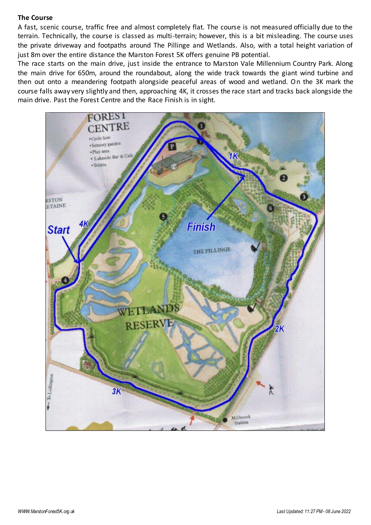#### **The Course**

A fast, scenic course, traffic free and almost completely flat. The course is not measured officially due to the terrain. Technically, the course is classed as multi-terrain; however, this is a bit misleading. The course uses the private driveway and footpaths around The Pillinge and Wetlands. Also, with a total height variation of just 8m over the entire distance the Marston Forest 5K offers genuine PB potential.

The race starts on the main drive, just inside the entrance to Marston Vale Millennium Country Park. Along the main drive for 650m, around the roundabout, along the wide track towards the giant wind turbine and then out onto a meandering footpath alongside peaceful areas of wood and wetland. On the 3K mark the course falls away very slightly and then, approaching 4K, it crosses the race start and tracks back alongside the main drive. Past the Forest Centre and the Race Finish is in sight.

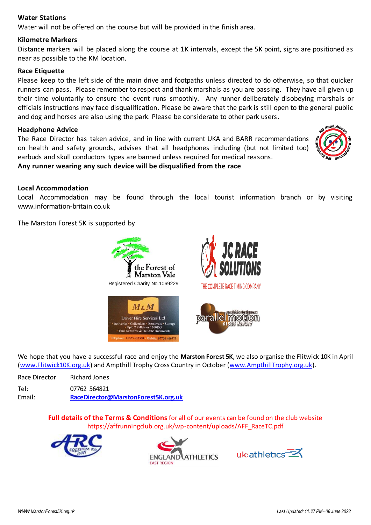## **Water Stations**

Water will not be offered on the course but will be provided in the finish area.

## **Kilometre Markers**

Distance markers will be placed along the course at 1K intervals, except the 5K point, signs are positioned as near as possible to the KM location.

# **Race Etiquette**

Please keep to the left side of the main drive and footpaths unless directed to do otherwise, so that quicker runners can pass. Please remember to respect and thank marshals as you are passing. They have all given up their time voluntarily to ensure the event runs smoothly. Any runner deliberately disobeying marshals or officials instructions may face disqualification. Please be aware that the park is still open to the general public and dog and horses are also using the park. Please be considerate to other park users.

## **Headphone Advice**

The Race Director has taken advice, and in line with current UKA and BARR recommendations on health and safety grounds, advises that all headphones including (but not limited too) earbuds and skull conductors types are banned unless required for medical reasons.



#### **Any runner wearing any such device will be disqualified from the race**

#### **Local Accommodation**

Local Accommodation may be found through the local tourist information branch or by visiting www.information-britain.co.uk

The Marston Forest 5K is supported by



We hope that you have a successful race and enjoy the **Marston Forest 5K**, we also organise the Flitwick 10K in April [\(www.Flitwick10K.org.uk](http://www.flitwick10k.org.uk/)) and Ampthill Trophy Cross Country in October [\(www.AmpthillTrophy.org](../../../Downloads/www.AmpthillTrophy.org.uk).uk).

| Race Director | Richard Jones                       |
|---------------|-------------------------------------|
| Tel:          | 07762 564821                        |
| Email:        | RaceDirector@MarstonForest5K.org.uk |

**Full details of the Terms & Conditions** for all of our events can be found on the club website [https://affrunningclub.org.uk/wp-content/uploads/AFF\\_RaceTC.pdf](https://www.affrunningclub.org.uk/wp-content/uploads/AFF_RaceTC.pdf)